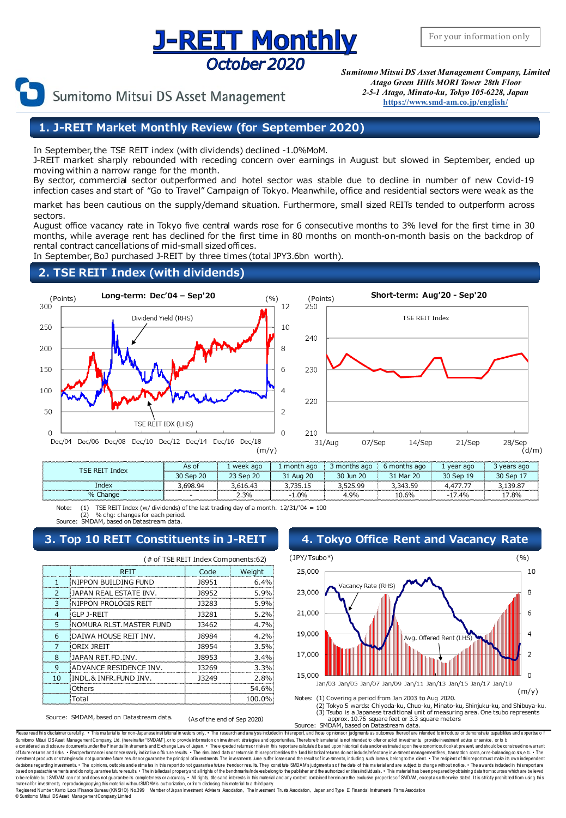## **J-REIT Monthly** October 2020



Sumitomo Mitsui DS Asset Management

*Sumitomo Mitsui DS Asset Management Company, Limited Atago Green Hills MORI Tower 28th Floor 2-5-1 Atago, Minato-ku, Tokyo 105-6228, Japan* **[https://www.smd-am.co.jp/english/](http://www.smam-jp.com/english/)**

## **1. J-REIT Market Monthly Review (for September 2020)**

In September, the TSE REIT index (with dividends) declined -1.0%MoM.

J-REIT market sharply rebounded with receding concern over earnings in August but slowed in September, ended up moving within a narrow range for the month.

By sector, commercial sector outperformed and hotel sector was stable due to decline in number of new Covid-19 infection cases and start of "Go to Travel" Campaign of Tokyo. Meanwhile, office and residential sectors were weak as the

market has been cautious on the supply/demand situation. Furthermore, small sized REITs tended to outperform across sectors.

August office vacancy rate in Tokyo five central wards rose for 6 consecutive months to 3% level for the first time in 30 months, while average rent has declined for the first time in 80 months on month-on-month basis on the backdrop of rental contract cancellations of mid-small sized offices.

In September, BoJ purchased J-REIT by three times (total JPY3.6bn worth).

## **2. TSE REIT Index (with dividends)**





| LSE REIT<br>Index | As of  | week ago | month ago     | iths ago<br>mont. | iths ago<br>month | year ago | ; ago |
|-------------------|--------|----------|---------------|-------------------|-------------------|----------|-------|
|                   | Sep 20 | Sep 20   | <b>Aug 20</b> | lun 20<br>วก      | Mar 20<br>31      | Sep 19   |       |
| Index             |        |          |               |                   |                   |          |       |
| hange             |        | 2.3%     |               | 4.9%              |                   | .4%      |       |

Note: (1) TSE REIT Index (w/ dividends) of the last trading day of a month.  $12/31/04 = 100$ (2) % chg: changes for each period. Source: SMDAM, based on Datastream data.

## **3. Top 10 REIT Constituents in J-REIT 4. Tokyo Office Rent and Vacancy Rate**

|    | (# of TSE REIT Index Components:62) |       |        |  |  |  |
|----|-------------------------------------|-------|--------|--|--|--|
|    | <b>RFIT</b>                         | Code  | Weight |  |  |  |
|    | INIPPON BUILDING FUND               | 18951 | 6.4%   |  |  |  |
|    | IAPAN REAL ESTATE INV.              | 18952 | 5.9%   |  |  |  |
| 3  | NIPPON PROLOGIS REIT                | 13283 | 5.9%   |  |  |  |
| 4  | <b>GLP J-REIT</b>                   | 13281 | 5.2%   |  |  |  |
| ς  | NOMURA RLST.MASTER FUND             | 13462 | 4.7%   |  |  |  |
| 6  | DAIWA HOUSE REIT INV.               | 18984 | 4.2%   |  |  |  |
|    | ORIX JREIT                          | 18954 | 3.5%   |  |  |  |
| 8  | IAPAN RFT FD INV.                   | 18953 | 3.4%   |  |  |  |
| q  | ADVANCE RESIDENCE INV.              | 13269 | 3.3%   |  |  |  |
| 10 | INDL.& INFR.FUND INV.               | 13249 | 2.8%   |  |  |  |
|    | Others                              |       | 54.6%  |  |  |  |
|    | Total                               |       | 100.0% |  |  |  |



(3) Tsubo is a Japanese traditional unit of measuring area. One tsubo represents

Source: SMDAM, based on Datastream data. (As of the end of Sep 2020)

approx. 10.76 square feet or 3.3 square meters Source: SMDAM, based on Datastream data.

Please read this disclaimer carefully. • This materialis for non-Japanese institutional in vebors only. • The research and analysis induded in this report, and those opinionsor judgments as outcomes thereof, are intended t e onsdered asdisdosure documentsunder the Financial Instruments and Exchange Law of Japan. • The expeded relumsor risksin this reportare calculated based upon hisbrical data andor estimated upon the economicoutlookal prese decisons regarding investments. • The opinions, outlooks and e stimal is report do not guarantee full to the tendsor result. They consilute SMDAMs judgmenta so f the date of this material and are subject to hange without n materialfor investments, reproducing/copying this material withoutSMDAM's authorization, or from disclosing this material to a flird party.<br>Registered Number:Kanto Local Finance Bureau (KNSHO) No.399 Member of Japan Press